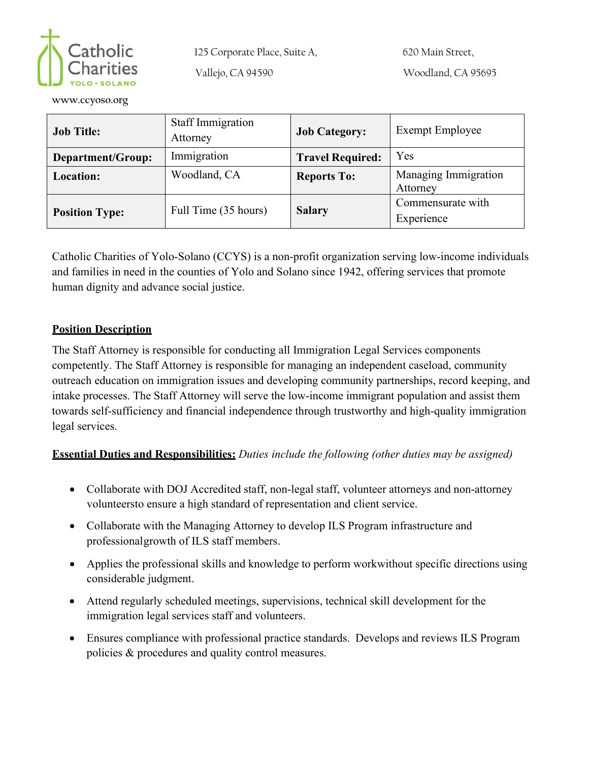

125 Corporate Place, Suite A,

Vallejo, CA 94590

**[www.ccyoso.org](about:blank)**

| <b>Job Title:</b>     | <b>Staff Immigration</b><br>Attorney | <b>Job Category:</b>    | <b>Exempt Employee</b>           |
|-----------------------|--------------------------------------|-------------------------|----------------------------------|
| Department/Group:     | Immigration                          | <b>Travel Required:</b> | Yes                              |
| <b>Location:</b>      | Woodland, CA                         | <b>Reports To:</b>      | Managing Immigration<br>Attorney |
| <b>Position Type:</b> | Full Time (35 hours)                 | <b>Salary</b>           | Commensurate with<br>Experience  |

Catholic Charities of Yolo-Solano (CCYS) is a non-profit organization serving low-income individuals and families in need in the counties of Yolo and Solano since 1942, offering services that promote human dignity and advance social justice.

## **Position Description**

The Staff Attorney is responsible for conducting all Immigration Legal Services components competently. The Staff Attorney is responsible for managing an independent caseload, community outreach education on immigration issues and developing community partnerships, record keeping, and intake processes. The Staff Attorney will serve the low-income immigrant population and assist them towards self-sufficiency and financial independence through trustworthy and high-quality immigration legal services.

## **Essential Duties and Responsibilities:** *Duties include the following (other duties may be assigned)*

- Collaborate with DOJ Accredited staff, non-legal staff, volunteer attorneys and non-attorney volunteersto ensure a high standard of representation and client service.
- Collaborate with the Managing Attorney to develop ILS Program infrastructure and professional growth of ILS staff members.
- Applies the professional skills and knowledge to perform workwithout specific directions using considerable judgment.
- Attend regularly scheduled meetings, supervisions, technical skill development for the immigration legal services staff and volunteers.
- Ensures compliance with professional practice standards. Develops and reviews ILS Program policies & procedures and quality control measures.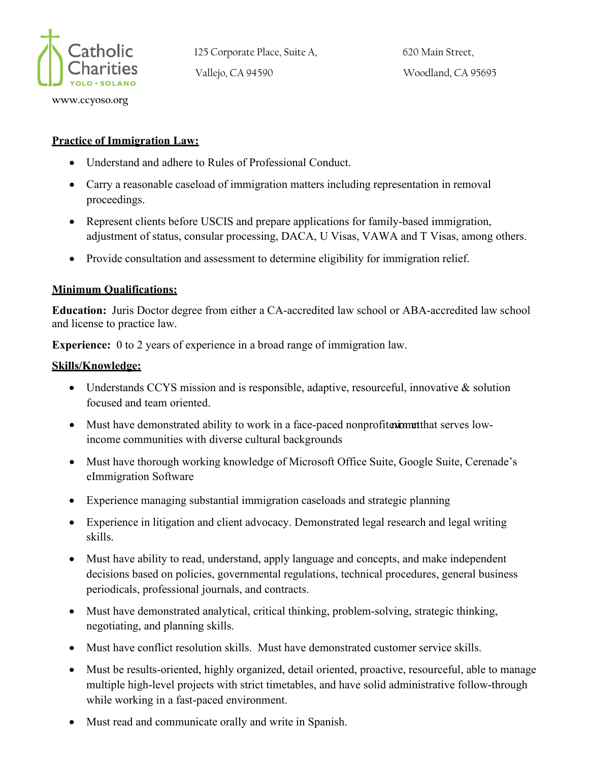

**[www.ccyoso.org](about:blank)**

125 Corporate Place, Suite A, Vallejo, CA 94590

620 Main Street, Woodland, CA 95695

**Practice of Immigration Law:**

- Understand and adhere to Rules of Professional Conduct.
- Carry a reasonable caseload of immigration matters including representation in removal proceedings.
- Represent clients before USCIS and prepare applications for family-based immigration, adjustment of status, consular processing, DACA, U Visas, VAWA and T Visas, among others.
- Provide consultation and assessment to determine eligibility for immigration relief.

## **Minimum Qualifications:**

**Education:** Juris Doctor degree from either a CA-accredited law school or ABA-accredited law school and license to practice law.

**Experience:** 0 to 2 years of experience in a broad range of immigration law.

## **Skills/Knowledge:**

- Understands CCYS mission and is responsible, adaptive, resourceful, innovative & solution focused and team oriented.
- Must have demonstrated ability to work in a face-paced nonprofiterium ethat serves lowincome communities with diverse cultural backgrounds
- Must have thorough working knowledge of Microsoft Office Suite, Google Suite, Cerenade's eImmigration Software
- Experience managing substantial immigration caseloads and strategic planning
- Experience in litigation and client advocacy. Demonstrated legal research and legal writing skills.
- Must have ability to read, understand, apply language and concepts, and make independent decisions based on policies, governmental regulations, technical procedures, general business periodicals, professional journals, and contracts.
- Must have demonstrated analytical, critical thinking, problem-solving, strategic thinking, negotiating, and planning skills.
- Must have conflict resolution skills. Must have demonstrated customer service skills.
- Must be results-oriented, highly organized, detail oriented, proactive, resourceful, able to manage multiple high-level projects with strict timetables, and have solid administrative follow-through while working in a fast-paced environment.
- Must read and communicate orally and write in Spanish.